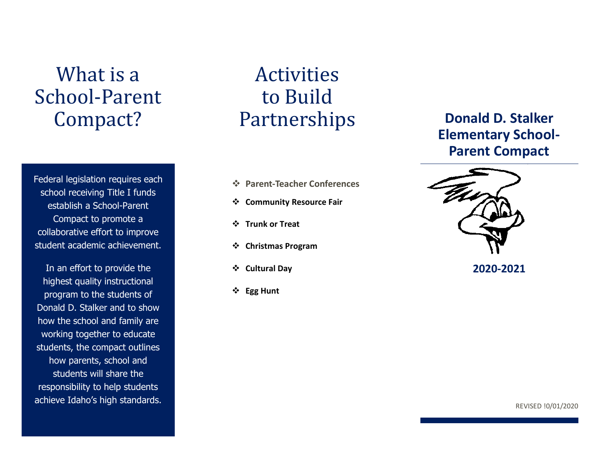# What is a School-Parent Compact?

Federal legislation requires each school receiving Title I funds establish a School-Parent Compact to promote a collaborative effort to improve student academic achievement.

In an effort to provide the highest quality instructional program to the students of Donald D. Stalker and to show how the school and family are working together to educate students, the compact outlines how parents, school and students will share the responsibility to help students achieve Idaho's high standards.

Activities to Build Partnerships

- ❖ **Parent-Teacher Conferences**
- ❖ **Community Resource Fair**
- ❖ **Trunk or Treat**
- ❖ **Christmas Program**
- ❖ **Cultural Day**
- ❖ **Egg Hunt**

## **Donald D. Stalker Elementary School-Parent Compact**



**2020-2021**

REVISED !0/01/2020